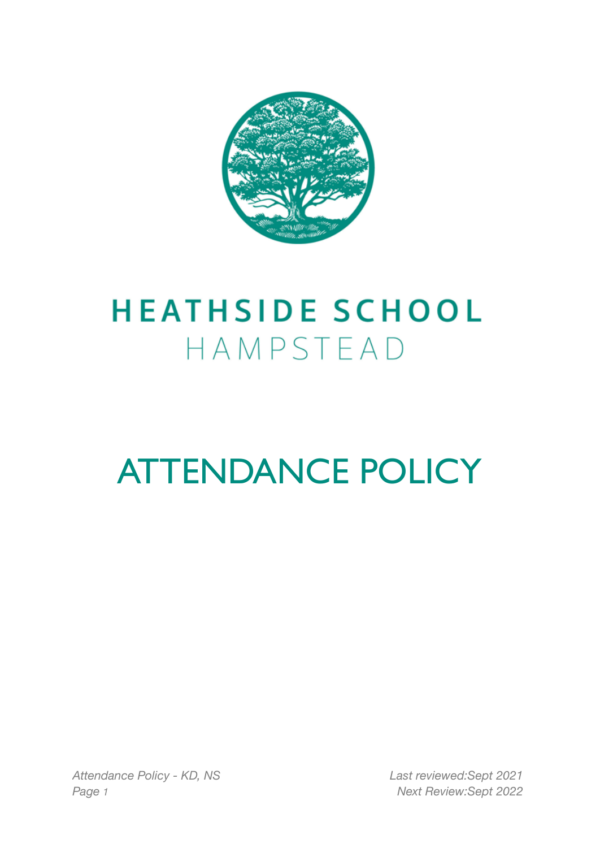

## **HEATHSIDE SCHOOL** HAMPSTEAD

# ATTENDANCE POLICY

*Attendance Policy - KD, NS Last reviewed:Sept 2021 Page 1 Next Review:Sept 2022*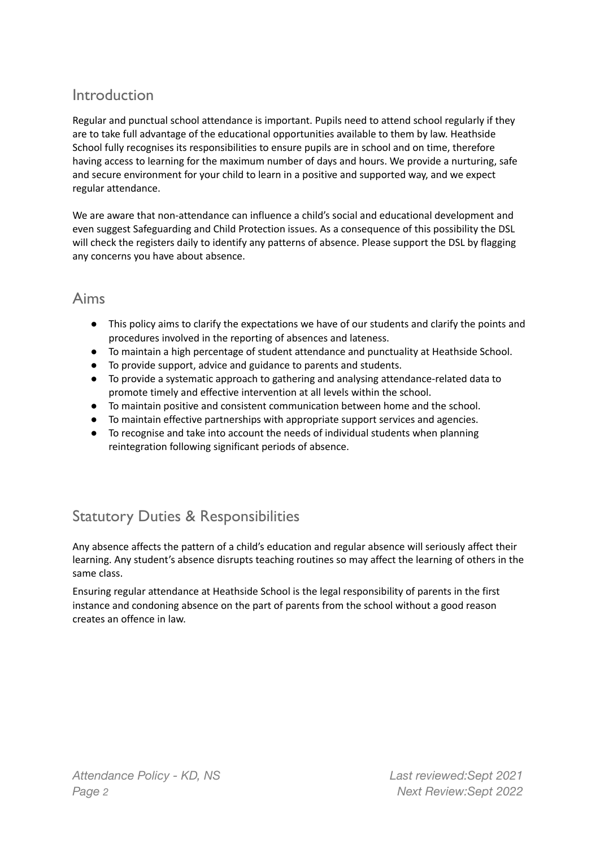#### Introduction

Regular and punctual school attendance is important. Pupils need to attend school regularly if they are to take full advantage of the educational opportunities available to them by law. Heathside School fully recognises its responsibilities to ensure pupils are in school and on time, therefore having access to learning for the maximum number of days and hours. We provide a nurturing, safe and secure environment for your child to learn in a positive and supported way, and we expect regular attendance.

We are aware that non-attendance can influence a child's social and educational development and even suggest Safeguarding and Child Protection issues. As a consequence of this possibility the DSL will check the registers daily to identify any patterns of absence. Please support the DSL by flagging any concerns you have about absence.

#### Aims

- This policy aims to clarify the expectations we have of our students and clarify the points and procedures involved in the reporting of absences and lateness.
- To maintain a high percentage of student attendance and punctuality at Heathside School.
- To provide support, advice and guidance to parents and students.
- To provide a systematic approach to gathering and analysing attendance-related data to promote timely and effective intervention at all levels within the school.
- To maintain positive and consistent communication between home and the school.
- To maintain effective partnerships with appropriate support services and agencies.
- To recognise and take into account the needs of individual students when planning reintegration following significant periods of absence.

## Statutory Duties & Responsibilities

Any absence affects the pattern of a child's education and regular absence will seriously affect their learning. Any student's absence disrupts teaching routines so may affect the learning of others in the same class.

Ensuring regular attendance at Heathside School is the legal responsibility of parents in the first instance and condoning absence on the part of parents from the school without a good reason creates an offence in law.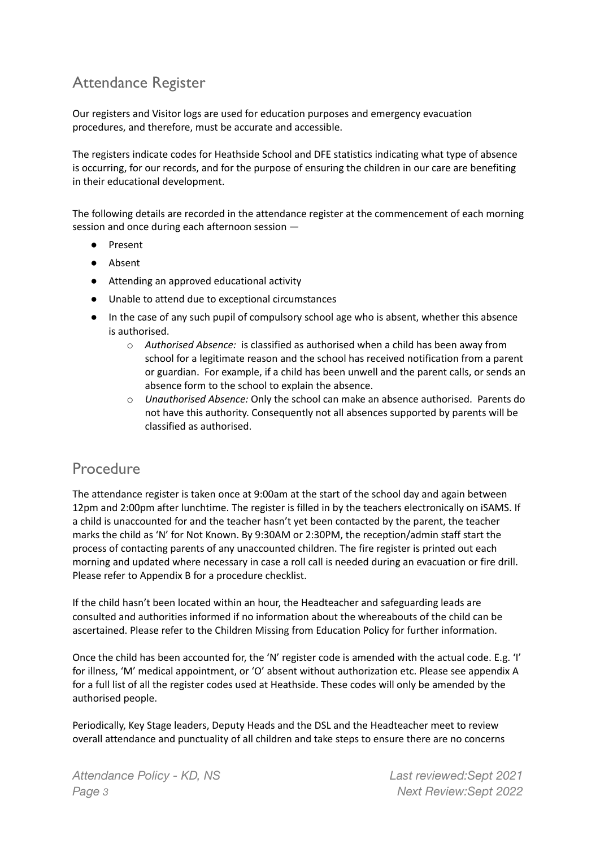## Attendance Register

Our registers and Visitor logs are used for education purposes and emergency evacuation procedures, and therefore, must be accurate and accessible.

The registers indicate codes for Heathside School and DFE statistics indicating what type of absence is occurring, for our records, and for the purpose of ensuring the children in our care are benefiting in their educational development.

The following details are recorded in the attendance register at the commencement of each morning session and once during each afternoon session —

- Present
- Absent
- Attending an approved educational activity
- Unable to attend due to exceptional circumstances
- In the case of any such pupil of compulsory school age who is absent, whether this absence is authorised.
	- o *Authorised Absence:* is classified as authorised when a child has been away from school for a legitimate reason and the school has received notification from a parent or guardian. For example, if a child has been unwell and the parent calls, or sends an absence form to the school to explain the absence.
	- o *Unauthorised Absence:* Only the school can make an absence authorised. Parents do not have this authority. Consequently not all absences supported by parents will be classified as authorised.

#### Procedure

The attendance register is taken once at 9:00am at the start of the school day and again between 12pm and 2:00pm after lunchtime. The register is filled in by the teachers electronically on iSAMS. If a child is unaccounted for and the teacher hasn't yet been contacted by the parent, the teacher marks the child as 'N' for Not Known. By 9:30AM or 2:30PM, the reception/admin staff start the process of contacting parents of any unaccounted children. The fire register is printed out each morning and updated where necessary in case a roll call is needed during an evacuation or fire drill. Please refer to Appendix B for a procedure checklist.

If the child hasn't been located within an hour, the Headteacher and safeguarding leads are consulted and authorities informed if no information about the whereabouts of the child can be ascertained. Please refer to the Children Missing from Education Policy for further information.

Once the child has been accounted for, the 'N' register code is amended with the actual code. E.g. 'I' for illness, 'M' medical appointment, or 'O' absent without authorization etc. Please see appendix A for a full list of all the register codes used at Heathside. These codes will only be amended by the authorised people.

Periodically, Key Stage leaders, Deputy Heads and the DSL and the Headteacher meet to review overall attendance and punctuality of all children and take steps to ensure there are no concerns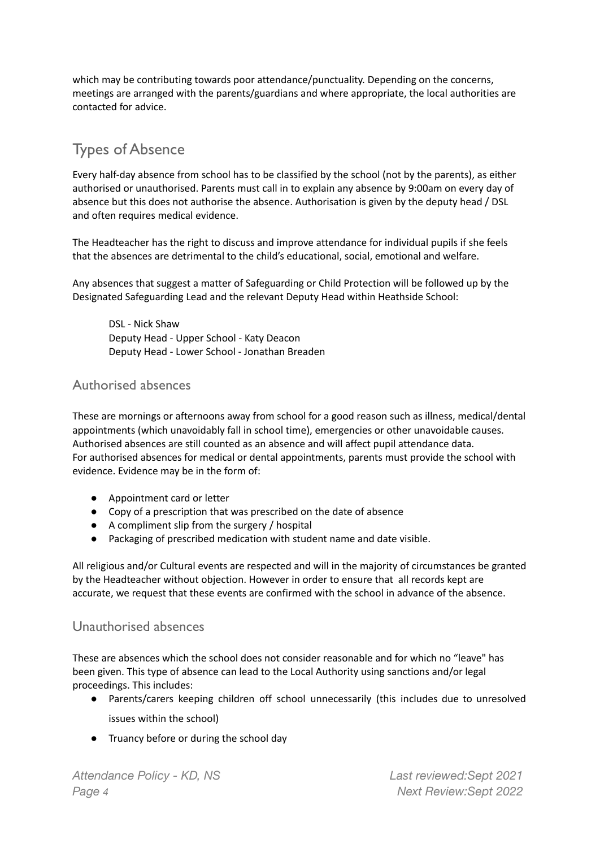which may be contributing towards poor attendance/punctuality. Depending on the concerns, meetings are arranged with the parents/guardians and where appropriate, the local authorities are contacted for advice.

## Types of Absence

Every half-day absence from school has to be classified by the school (not by the parents), as either authorised or unauthorised. Parents must call in to explain any absence by 9:00am on every day of absence but this does not authorise the absence. Authorisation is given by the deputy head / DSL and often requires medical evidence.

The Headteacher has the right to discuss and improve attendance for individual pupils if she feels that the absences are detrimental to the child's educational, social, emotional and welfare.

Any absences that suggest a matter of Safeguarding or Child Protection will be followed up by the Designated Safeguarding Lead and the relevant Deputy Head within Heathside School:

DSL - Nick Shaw Deputy Head - Upper School - Katy Deacon Deputy Head - Lower School - Jonathan Breaden

#### Authorised absences

These are mornings or afternoons away from school for a good reason such as illness, medical/dental appointments (which unavoidably fall in school time), emergencies or other unavoidable causes. Authorised absences are still counted as an absence and will affect pupil attendance data. For authorised absences for medical or dental appointments, parents must provide the school with evidence. Evidence may be in the form of:

- Appointment card or letter
- Copy of a prescription that was prescribed on the date of absence
- A compliment slip from the surgery / hospital
- Packaging of prescribed medication with student name and date visible.

All religious and/or Cultural events are respected and will in the majority of circumstances be granted by the Headteacher without objection. However in order to ensure that all records kept are accurate, we request that these events are confirmed with the school in advance of the absence.

#### Unauthorised absences

These are absences which the school does not consider reasonable and for which no "leave" has been given. This type of absence can lead to the Local Authority using sanctions and/or legal proceedings. This includes:

- Parents/carers keeping children off school unnecessarily (this includes due to unresolved issues within the school)
- Truancy before or during the school day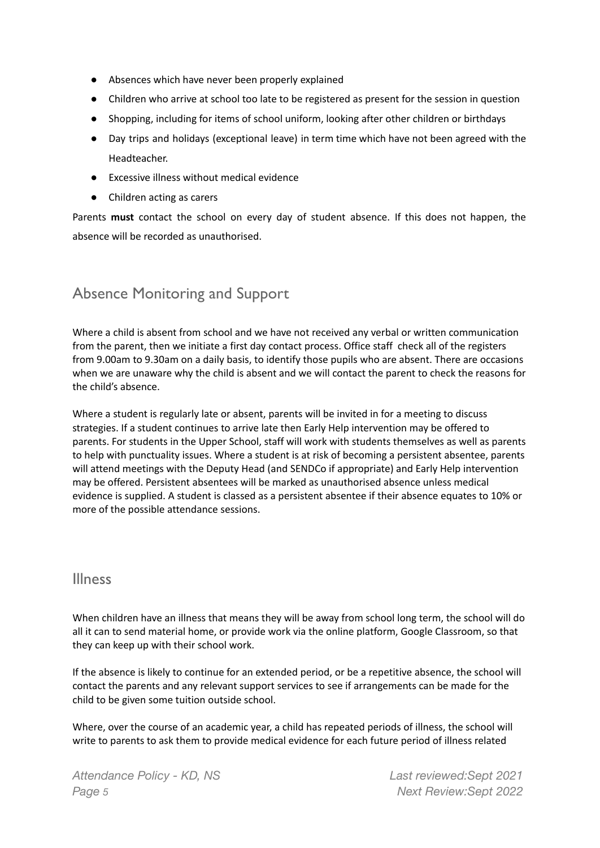- Absences which have never been properly explained
- Children who arrive at school too late to be registered as present for the session in question
- Shopping, including for items of school uniform, looking after other children or birthdays
- Day trips and holidays (exceptional leave) in term time which have not been agreed with the Headteacher.
- Excessive illness without medical evidence
- Children acting as carers

Parents **must** contact the school on every day of student absence. If this does not happen, the absence will be recorded as unauthorised.

#### Absence Monitoring and Support

Where a child is absent from school and we have not received any verbal or written communication from the parent, then we initiate a first day contact process. Office staff check all of the registers from 9.00am to 9.30am on a daily basis, to identify those pupils who are absent. There are occasions when we are unaware why the child is absent and we will contact the parent to check the reasons for the child's absence.

Where a student is regularly late or absent, parents will be invited in for a meeting to discuss strategies. If a student continues to arrive late then Early Help intervention may be offered to parents. For students in the Upper School, staff will work with students themselves as well as parents to help with punctuality issues. Where a student is at risk of becoming a persistent absentee, parents will attend meetings with the Deputy Head (and SENDCo if appropriate) and Early Help intervention may be offered. Persistent absentees will be marked as unauthorised absence unless medical evidence is supplied. A student is classed as a persistent absentee if their absence equates to 10% or more of the possible attendance sessions.

#### Illness

When children have an illness that means they will be away from school long term, the school will do all it can to send material home, or provide work via the online platform, Google Classroom, so that they can keep up with their school work.

If the absence is likely to continue for an extended period, or be a repetitive absence, the school will contact the parents and any relevant support services to see if arrangements can be made for the child to be given some tuition outside school.

Where, over the course of an academic year, a child has repeated periods of illness, the school will write to parents to ask them to provide medical evidence for each future period of illness related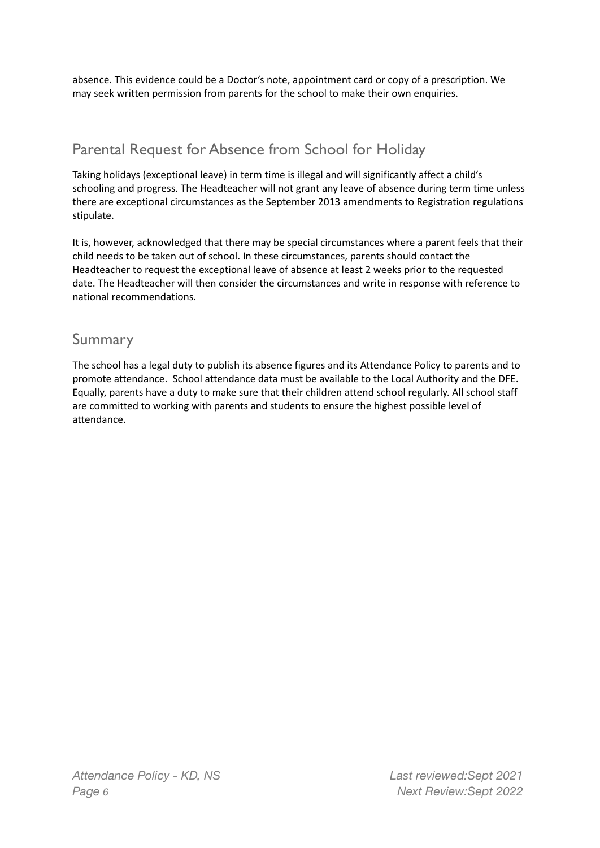absence. This evidence could be a Doctor's note, appointment card or copy of a prescription. We may seek written permission from parents for the school to make their own enquiries.

## Parental Request for Absence from School for Holiday

Taking holidays (exceptional leave) in term time is illegal and will significantly affect a child's schooling and progress. The Headteacher will not grant any leave of absence during term time unless there are exceptional circumstances as the September 2013 amendments to Registration regulations stipulate.

It is, however, acknowledged that there may be special circumstances where a parent feels that their child needs to be taken out of school. In these circumstances, parents should contact the Headteacher to request the exceptional leave of absence at least 2 weeks prior to the requested date. The Headteacher will then consider the circumstances and write in response with reference to national recommendations.

#### Summary

The school has a legal duty to publish its absence figures and its Attendance Policy to parents and to promote attendance. School attendance data must be available to the Local Authority and the DFE. Equally, parents have a duty to make sure that their children attend school regularly. All school staff are committed to working with parents and students to ensure the highest possible level of attendance.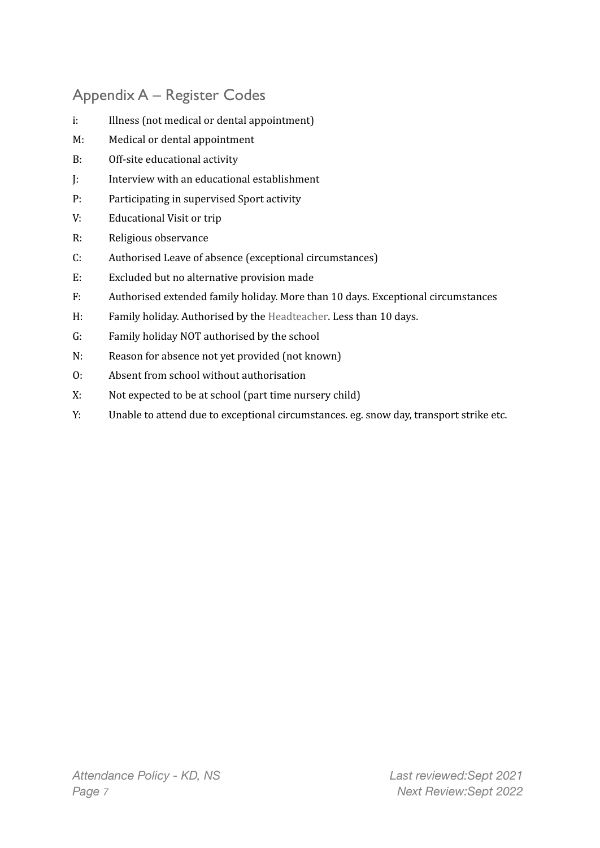## Appendix A – Register Codes

- i: Illness (not medical or dental appointment)
- M: Medical or dental appointment
- B: Off-site educational activity
- J: Interview with an educational establishment
- P: Participating in supervised Sport activity
- V: Educational Visit or trip
- R: Religious observance
- C: Authorised Leave of absence (exceptional circumstances)
- E: Excluded but no alternative provision made
- F: Authorised extended family holiday. More than 10 days. Exceptional circumstances
- H: Family holiday. Authorised by the Headteacher. Less than 10 days.
- G: Family holiday NOT authorised by the school
- N: Reason for absence not yet provided (not known)
- O: Absent from school without authorisation
- X: Not expected to be at school (part time nursery child)
- Y: Unable to attend due to exceptional circumstances. eg. snow day, transport strike etc.